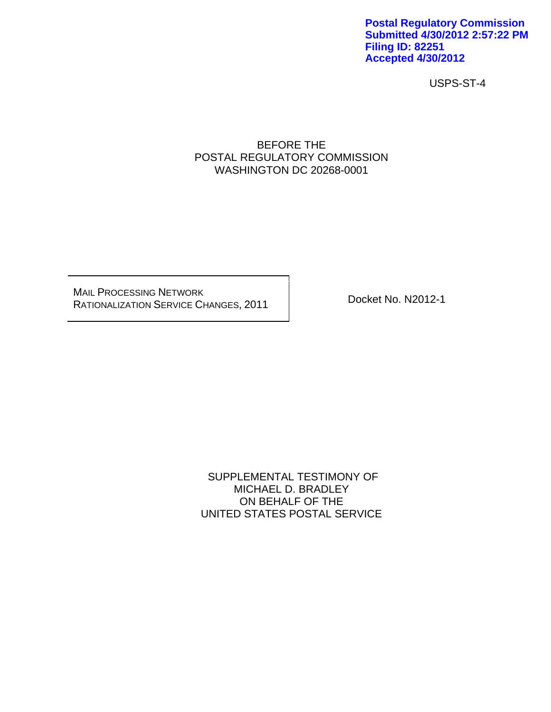**Postal Regulatory Commission Submitted 4/30/2012 2:57:22 PM Filing ID: 82251 Accepted 4/30/2012**

USPS-ST-4

### BEFORE THE POSTAL REGULATORY COMMISSION WASHINGTON DC 20268-0001

MAIL PROCESSING NETWORK RATIONALIZATION SERVICE CHANGES, 2011 Docket No. N2012-1

 SUPPLEMENTAL TESTIMONY OF MICHAEL D. BRADLEY ON BEHALF OF THE UNITED STATES POSTAL SERVICE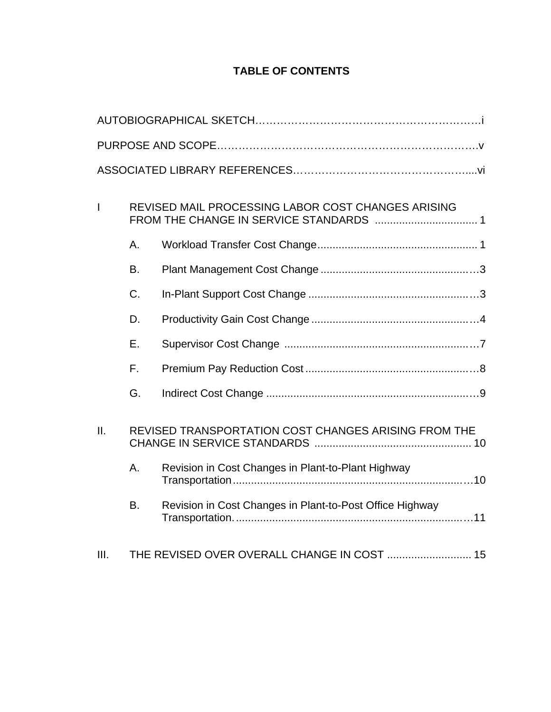# **TABLE OF CONTENTS**

| $\overline{\phantom{a}}$ | REVISED MAIL PROCESSING LABOR COST CHANGES ARISING |                                                          |  |  |  |
|--------------------------|----------------------------------------------------|----------------------------------------------------------|--|--|--|
|                          | А.                                                 |                                                          |  |  |  |
|                          | B.                                                 |                                                          |  |  |  |
|                          | C.                                                 |                                                          |  |  |  |
|                          | D.                                                 |                                                          |  |  |  |
|                          | Ε.                                                 |                                                          |  |  |  |
|                          | F.                                                 |                                                          |  |  |  |
|                          | G.                                                 |                                                          |  |  |  |
| II.                      |                                                    | REVISED TRANSPORTATION COST CHANGES ARISING FROM THE     |  |  |  |
|                          | А.                                                 | Revision in Cost Changes in Plant-to-Plant Highway       |  |  |  |
|                          | <b>B.</b>                                          | Revision in Cost Changes in Plant-to-Post Office Highway |  |  |  |
| III.                     |                                                    | THE REVISED OVER OVERALL CHANGE IN COST  15              |  |  |  |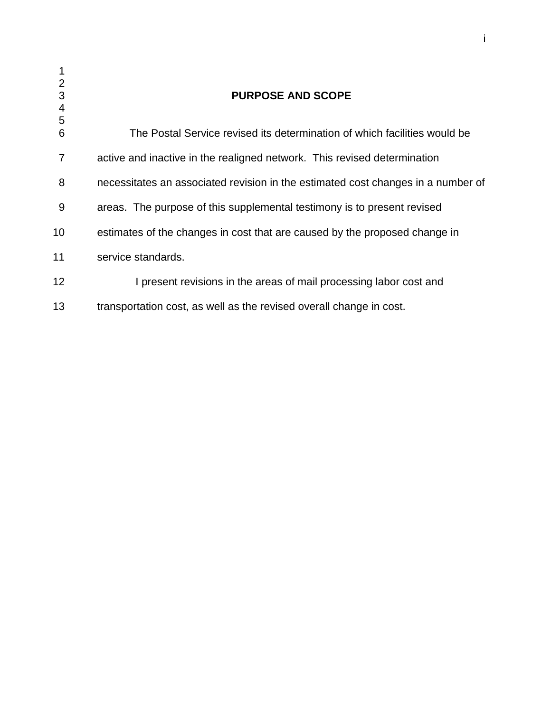| 1<br>$\overline{2}$<br>3<br>4 | <b>PURPOSE AND SCOPE</b>                                                         |
|-------------------------------|----------------------------------------------------------------------------------|
| 5<br>$6\phantom{1}6$          | The Postal Service revised its determination of which facilities would be        |
| $\overline{7}$                | active and inactive in the realigned network. This revised determination         |
| 8                             | necessitates an associated revision in the estimated cost changes in a number of |
| 9                             | areas. The purpose of this supplemental testimony is to present revised          |
| 10                            | estimates of the changes in cost that are caused by the proposed change in       |
| 11                            | service standards.                                                               |
| 12 <sup>2</sup>               | I present revisions in the areas of mail processing labor cost and               |
| 13                            | transportation cost, as well as the revised overall change in cost.              |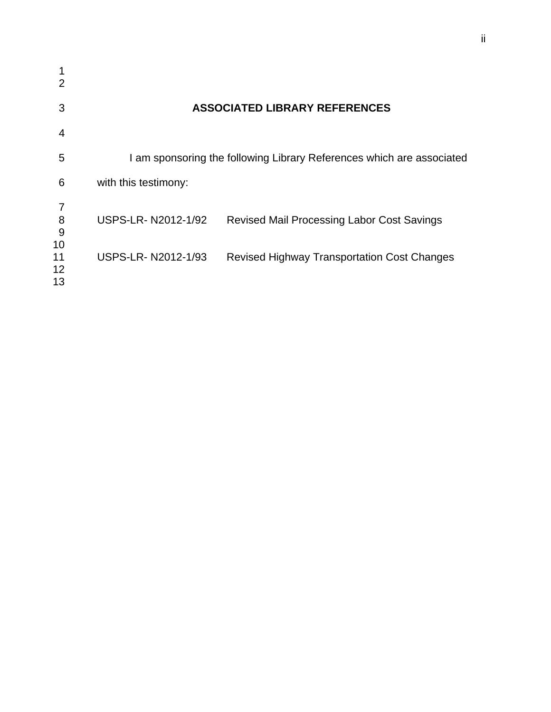| 3              |                      | <b>ASSOCIATED LIBRARY REFERENCES</b>                                  |
|----------------|----------------------|-----------------------------------------------------------------------|
| 4              |                      |                                                                       |
| 5              |                      | I am sponsoring the following Library References which are associated |
| 6              | with this testimony: |                                                                       |
| 8<br>9<br>10   | USPS-LR-N2012-1/92   | <b>Revised Mail Processing Labor Cost Savings</b>                     |
| 11<br>12<br>13 | USPS-LR-N2012-1/93   | <b>Revised Highway Transportation Cost Changes</b>                    |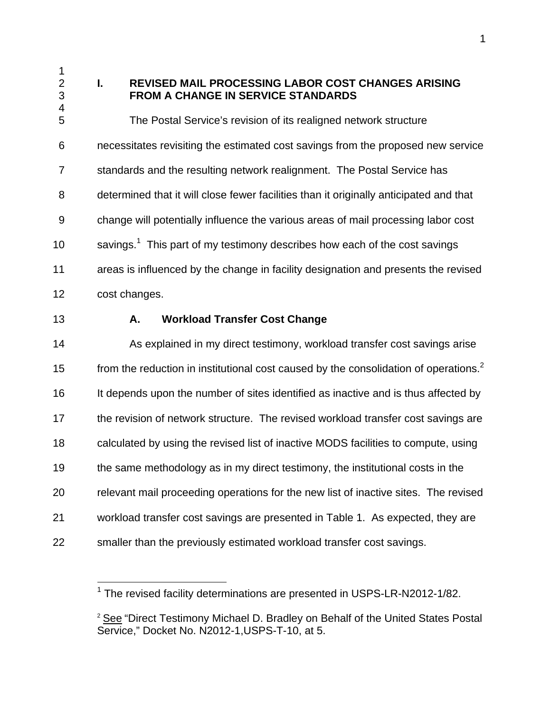4

# 2 **I. REVISED MAIL PROCESSING LABOR COST CHANGES ARISING**  3 **FROM A CHANGE IN SERVICE STANDARDS**

5 The Postal Service's revision of its realigned network structure 6 necessitates revisiting the estimated cost savings from the proposed new service 7 standards and the resulting network realignment. The Postal Service has 8 determined that it will close fewer facilities than it originally anticipated and that 9 change will potentially influence the various areas of mail processing labor cost 10  $\,$  savings.<sup>1</sup> This part of my testimony describes how each of the cost savings 11 areas is influenced by the change in facility designation and presents the revised 12 cost changes.

 $\overline{a}$ 

# 13 **A. Workload Transfer Cost Change**

14 As explained in my direct testimony, workload transfer cost savings arise from the reduction in institutional cost caused by the consolidation of operations.<sup>2</sup> 16 It depends upon the number of sites identified as inactive and is thus affected by 17 the revision of network structure. The revised workload transfer cost savings are 18 calculated by using the revised list of inactive MODS facilities to compute, using 19 the same methodology as in my direct testimony, the institutional costs in the 20 relevant mail proceeding operations for the new list of inactive sites. The revised 21 workload transfer cost savings are presented in Table 1. As expected, they are 22 smaller than the previously estimated workload transfer cost savings.

 $1$  The revised facility determinations are presented in USPS-LR-N2012-1/82.

<sup>&</sup>lt;sup>2</sup> See "Direct Testimony Michael D. Bradley on Behalf of the United States Postal Service," Docket No. N2012-1,USPS-T-10, at 5.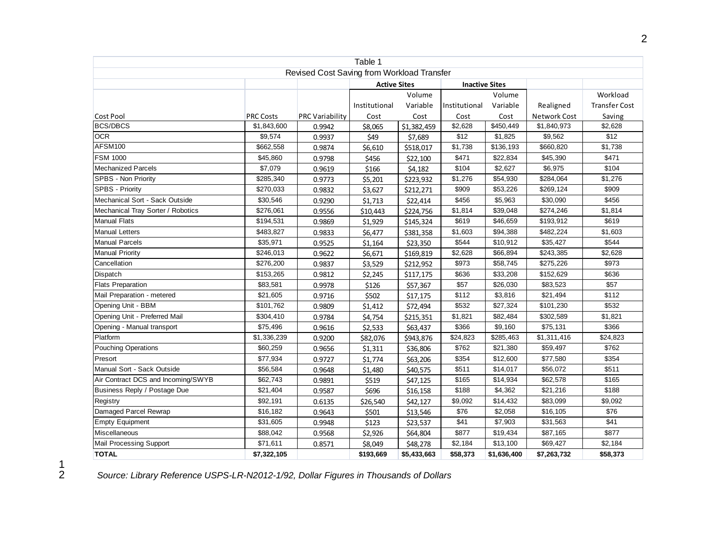| Table 1                            |                  |                                            |                     |             |               |                       |              |                      |
|------------------------------------|------------------|--------------------------------------------|---------------------|-------------|---------------|-----------------------|--------------|----------------------|
|                                    |                  | Revised Cost Saving from Workload Transfer |                     |             |               |                       |              |                      |
|                                    |                  |                                            | <b>Active Sites</b> |             |               | <b>Inactive Sites</b> |              |                      |
|                                    |                  |                                            |                     | Volume      | Volume        |                       |              | Workload             |
|                                    |                  |                                            | Institutional       | Variable    | Institutional | Variable              | Realigned    | <b>Transfer Cost</b> |
| Cost Pool                          | <b>PRC Costs</b> | <b>PRC Variability</b>                     | Cost                | Cost        | Cost          | Cost                  | Network Cost | Saving               |
| <b>BCS/DBCS</b>                    | \$1,843,600      | 0.9942                                     | \$8,065             | \$1,382,459 | \$2,628       | \$450,449             | \$1,840,973  | \$2,628              |
| <b>OCR</b>                         | \$9,574          | 0.9937                                     | \$49                | \$7,689     | \$12          | \$1,825               | \$9,562      | \$12                 |
| AFSM100                            | \$662,558        | 0.9874                                     | \$6,610             | \$518,017   | \$1,738       | \$136,193             | \$660,820    | \$1,738              |
| <b>FSM 1000</b>                    | \$45,860         | 0.9798                                     | \$456               | \$22,100    | \$471         | \$22,834              | \$45,390     | \$471                |
| <b>Mechanized Parcels</b>          | \$7,079          | 0.9619                                     | \$166               | \$4,182     | \$104         | \$2,627               | \$6,975      | \$104                |
| SPBS - Non Priority                | \$285,340        | 0.9773                                     | \$5,201             | \$223,932   | \$1,276       | \$54,930              | \$284,064    | \$1,276              |
| SPBS - Priority                    | \$270,033        | 0.9832                                     | \$3,627             | \$212,271   | \$909         | \$53,226              | \$269,124    | \$909                |
| Mechanical Sort - Sack Outside     | \$30,546         | 0.9290                                     | \$1,713             | \$22,414    | \$456         | \$5,963               | \$30,090     | \$456                |
| Mechanical Tray Sorter / Robotics  | \$276,061        | 0.9556                                     | \$10,443            | \$224,756   | \$1,814       | \$39,048              | \$274,246    | \$1,814              |
| <b>Manual Flats</b>                | \$194,531        | 0.9869                                     | \$1,929             | \$145,324   | \$619         | \$46,659              | \$193,912    | \$619                |
| <b>Manual Letters</b>              | \$483,827        | 0.9833                                     | \$6,477             | \$381,358   | \$1,603       | \$94,388              | \$482,224    | \$1,603              |
| <b>Manual Parcels</b>              | \$35,971         | 0.9525                                     | \$1,164             | \$23,350    | \$544         | \$10,912              | \$35,427     | \$544                |
| <b>Manual Priority</b>             | \$246,013        | 0.9622                                     | \$6,671             | \$169,819   | \$2,628       | \$66,894              | \$243,385    | \$2,628              |
| Cancellation                       | \$276,200        | 0.9837                                     | \$3,529             | \$212,952   | \$973         | \$58,745              | \$275,226    | \$973                |
| Dispatch                           | \$153,265        | 0.9812                                     | \$2,245             | \$117,175   | \$636         | \$33,208              | \$152,629    | \$636                |
| <b>Flats Preparation</b>           | \$83,581         | 0.9978                                     | \$126               | \$57,367    | \$57          | \$26,030              | \$83,523     | \$57                 |
| Mail Preparation - metered         | \$21,605         | 0.9716                                     | \$502               | \$17,175    | \$112         | \$3,816               | \$21,494     | \$112                |
| Opening Unit - BBM                 | \$101,762        | 0.9809                                     | \$1,412             | \$72,494    | \$532         | \$27,324              | \$101,230    | \$532                |
| Opening Unit - Preferred Mail      | \$304,410        | 0.9784                                     | \$4,754             | \$215,351   | \$1,821       | \$82,484              | \$302,589    | \$1,821              |
| Opening - Manual transport         | \$75,496         | 0.9616                                     | \$2,533             | \$63,437    | \$366         | \$9,160               | \$75,131     | \$366                |
| Platform                           | \$1,336,239      | 0.9200                                     | \$82,076            | \$943,876   | \$24,823      | \$285,463             | \$1,311,416  | \$24,823             |
| <b>Pouching Operations</b>         | \$60,259         | 0.9656                                     | \$1,311             | \$36,806    | \$762         | \$21,380              | \$59,497     | \$762                |
| Presort                            | \$77,934         | 0.9727                                     | \$1,774             | \$63,206    | \$354         | \$12,600              | \$77,580     | \$354                |
| Manual Sort - Sack Outside         | \$56,584         | 0.9648                                     | \$1,480             | \$40,575    | \$511         | \$14,017              | \$56,072     | \$511                |
| Air Contract DCS and Incoming/SWYB | \$62,743         | 0.9891                                     | \$519               | \$47,125    | \$165         | \$14,934              | \$62,578     | \$165                |
| Business Reply / Postage Due       | \$21,404         | 0.9587                                     | \$696               | \$16,158    | \$188         | \$4,362               | \$21,216     | \$188                |
| Registry                           | \$92,191         | 0.6135                                     | \$26,540            | \$42,127    | \$9,092       | \$14,432              | \$83,099     | \$9,092              |
| Damaged Parcel Rewrap              | \$16,182         | 0.9643                                     | \$501               | \$13,546    | \$76          | \$2,058               | \$16,105     | \$76                 |
| <b>Empty Equipment</b>             | \$31,605         | 0.9948                                     | \$123               | \$23,537    | \$41          | \$7,903               | \$31,563     | \$41                 |
| Miscellaneous                      | \$88,042         | 0.9568                                     | \$2,926             | \$64,804    | \$877         | \$19,434              | \$87,165     | \$877                |
| Mail Processing Support            | \$71,611         | 0.8571                                     | \$8,049             | \$48,278    | \$2,184       | \$13,100              | \$69,427     | \$2,184              |
| <b>TOTAL</b>                       | \$7,322,105      |                                            | \$193,669           | \$5,433,663 | \$58,373      | \$1,636,400           | \$7,263,732  | \$58,373             |

2 *Source: Library Reference USPS-LR-N2012-1/92, Dollar Figures in Thousands of Dollars*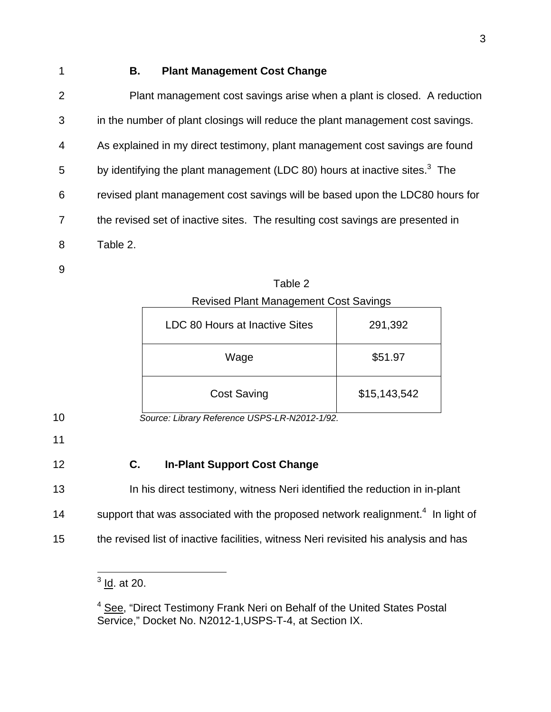# 1 **B. Plant Management Cost Change**

| $\overline{2}$ | Plant management cost savings arise when a plant is closed. A reduction                |
|----------------|----------------------------------------------------------------------------------------|
| 3              | in the number of plant closings will reduce the plant management cost savings.         |
| 4              | As explained in my direct testimony, plant management cost savings are found           |
| 5              | by identifying the plant management (LDC 80) hours at inactive sites. <sup>3</sup> The |
| 6              | revised plant management cost savings will be based upon the LDC80 hours for           |
| $\overline{7}$ | the revised set of inactive sites. The resulting cost savings are presented in         |
| 8              | Table 2.                                                                               |
|                |                                                                                        |

9

Table 2 Revised Plant Management Cost Savings

| LDC 80 Hours at Inactive Sites | 291,392      |  |  |  |
|--------------------------------|--------------|--|--|--|
| Wage                           | \$51.97      |  |  |  |
| <b>Cost Saving</b>             | \$15,143,542 |  |  |  |

10 *Source: Library Reference USPS-LR-N2012-1/92.* 

- 11
- 

# 12 **C. In-Plant Support Cost Change**

- 13 In his direct testimony, witness Neri identified the reduction in in-plant
- 14 support that was associated with the proposed network realignment.<sup>4</sup> In light of
- 15 the revised list of inactive facilities, witness Neri revisited his analysis and has

 $\frac{3}{10}$ . at 20.

<sup>&</sup>lt;sup>4</sup> See, "Direct Testimony Frank Neri on Behalf of the United States Postal Service," Docket No. N2012-1, USPS-T-4, at Section IX.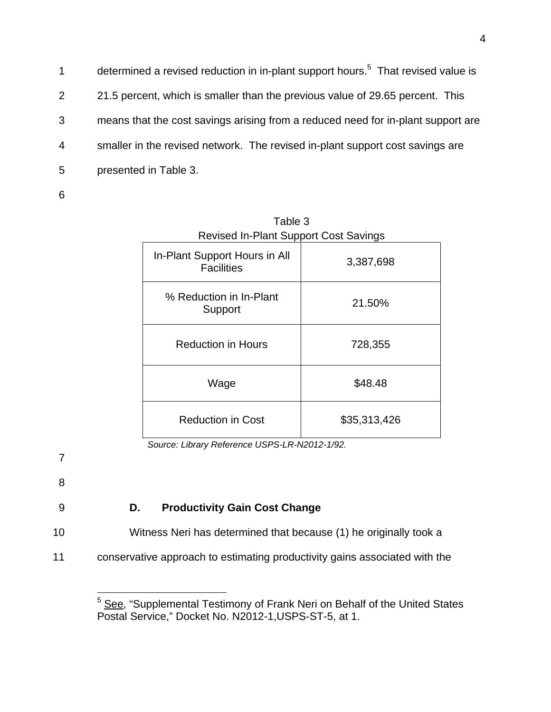determined a revised reduction in in-plant support hours.<sup>5</sup> That revised value is 2 21.5 percent, which is smaller than the previous value of 29.65 percent. This 3 means that the cost savings arising from a reduced need for in-plant support are 4 smaller in the revised network. The revised in-plant support cost savings are 5 presented in Table 3.

6

| Revised In-Plant Support Cost Savings              |              |  |
|----------------------------------------------------|--------------|--|
| In-Plant Support Hours in All<br><b>Facilities</b> | 3,387,698    |  |
| % Reduction in In-Plant<br>Support                 | 21.50%       |  |
| <b>Reduction in Hours</b>                          | 728,355      |  |
| Wage                                               | \$48.48      |  |
| <b>Reduction in Cost</b>                           | \$35,313,426 |  |

Table 3 Revised In-Plant Support Cost Savings

*Source: Library Reference USPS-LR-N2012-1/92.*

7

8

# 9 **D. Productivity Gain Cost Change**

10 Witness Neri has determined that because (1) he originally took a

11 conservative approach to estimating productivity gains associated with the

\_\_\_\_\_\_\_\_\_\_\_\_\_\_\_\_\_\_\_\_\_\_\_\_\_\_\_\_\_\_\_<br><sup>5</sup> <u>See,</u> "Supplemental Testimony of Frank Neri on Behalf of the United States Postal Service," Docket No. N2012-1,USPS-ST-5, at 1.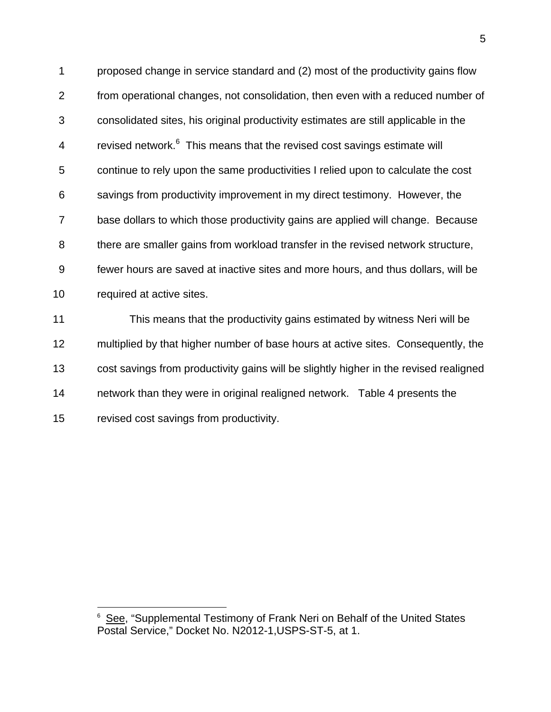1 proposed change in service standard and (2) most of the productivity gains flow 2 from operational changes, not consolidation, then even with a reduced number of 3 consolidated sites, his original productivity estimates are still applicable in the 4 revised network.<sup>6</sup> This means that the revised cost savings estimate will 5 continue to rely upon the same productivities I relied upon to calculate the cost 6 savings from productivity improvement in my direct testimony. However, the 7 base dollars to which those productivity gains are applied will change. Because 8 there are smaller gains from workload transfer in the revised network structure, 9 fewer hours are saved at inactive sites and more hours, and thus dollars, will be 10 required at active sites.

11 This means that the productivity gains estimated by witness Neri will be 12 multiplied by that higher number of base hours at active sites. Consequently, the 13 cost savings from productivity gains will be slightly higher in the revised realigned 14 network than they were in original realigned network. Table 4 presents the 15 revised cost savings from productivity.

 $\overline{a}$ 

<sup>6</sup> See, "Supplemental Testimony of Frank Neri on Behalf of the United States Postal Service," Docket No. N2012-1,USPS-ST-5, at 1.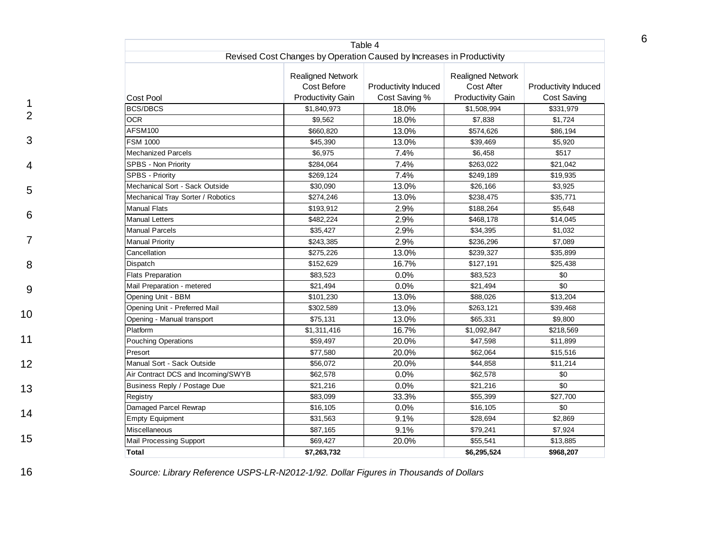|                                    |                                                                       | Table 4              |                                        |                      |
|------------------------------------|-----------------------------------------------------------------------|----------------------|----------------------------------------|----------------------|
|                                    | Revised Cost Changes by Operation Caused by Increases in Productivity |                      |                                        |                      |
|                                    | <b>Realigned Network</b><br>Cost Before                               | Productivity Induced | <b>Realigned Network</b><br>Cost After | Productivity Induced |
| <b>Cost Pool</b>                   | <b>Productivity Gain</b>                                              | Cost Saving %        | <b>Productivity Gain</b>               | Cost Saving          |
| <b>BCS/DBCS</b>                    | \$1,840,973                                                           | 18.0%                | \$1,508,994                            | \$331,979            |
| <b>OCR</b>                         | \$9,562                                                               | 18.0%                | \$7,838                                | \$1,724              |
| AFSM100                            | \$660,820                                                             | 13.0%                | \$574,626                              | \$86,194             |
| <b>FSM 1000</b>                    | \$45,390                                                              | 13.0%                | \$39,469                               | \$5,920              |
| <b>Mechanized Parcels</b>          | \$6,975                                                               | 7.4%                 | \$6,458                                | \$517                |
| SPBS - Non Priority                | \$284,064                                                             | 7.4%                 | \$263,022                              | \$21,042             |
| <b>SPBS - Priority</b>             | \$269,124                                                             | 7.4%                 | \$249,189                              | \$19,935             |
| Mechanical Sort - Sack Outside     | \$30,090                                                              | 13.0%                | \$26,166                               | \$3,925              |
| Mechanical Tray Sorter / Robotics  | \$274,246                                                             | 13.0%                | \$238,475                              | \$35,771             |
| <b>Manual Flats</b>                | \$193,912                                                             | 2.9%                 | \$188,264                              | \$5,648              |
| <b>Manual Letters</b>              | \$482,224                                                             | 2.9%                 | \$468,178                              | \$14,045             |
| <b>Manual Parcels</b>              | \$35,427                                                              | 2.9%                 | \$34,395                               | \$1,032              |
| <b>Manual Priority</b>             | \$243,385                                                             | 2.9%                 | \$236,296                              | \$7,089              |
| Cancellation                       | \$275,226                                                             | 13.0%                | \$239,327                              | \$35,899             |
| Dispatch                           | \$152,629                                                             | 16.7%                | \$127,191                              | \$25,438             |
| <b>Flats Preparation</b>           | \$83,523                                                              | 0.0%                 | \$83,523                               | \$0                  |
| Mail Preparation - metered         | \$21,494                                                              | 0.0%                 | \$21,494                               | $\sqrt{6}$           |
| Opening Unit - BBM                 | \$101,230                                                             | 13.0%                | \$88,026                               | \$13,204             |
| Opening Unit - Preferred Mail      | \$302,589                                                             | 13.0%                | \$263,121                              | \$39,468             |
| Opening - Manual transport         | \$75,131                                                              | 13.0%                | \$65,331                               | \$9,800              |
| Platform                           | \$1,311,416                                                           | 16.7%                | \$1,092,847                            | \$218,569            |
| <b>Pouching Operations</b>         | \$59,497                                                              | 20.0%                | \$47,598                               | \$11,899             |
| Presort                            | \$77,580                                                              | 20.0%                | \$62,064                               | \$15,516             |
| Manual Sort - Sack Outside         | \$56,072                                                              | 20.0%                | \$44,858                               | \$11,214             |
| Air Contract DCS and Incoming/SWYB | \$62,578                                                              | 0.0%                 | \$62,578                               | \$0                  |
| Business Reply / Postage Due       | \$21,216                                                              | 0.0%                 | \$21,216                               | \$0                  |
| Registry                           | \$83,099                                                              | 33.3%                | \$55,399                               | \$27,700             |
| Damaged Parcel Rewrap              | \$16,105                                                              | 0.0%                 | \$16,105                               | \$0                  |
| <b>Empty Equipment</b>             | \$31,563                                                              | 9.1%                 | \$28,694                               | \$2,869              |
| <b>Miscellaneous</b>               | \$87,165                                                              | 9.1%                 | \$79,241                               | \$7,924              |
| Mail Processing Support            | \$69,427                                                              | 20.0%                | \$55,541                               | \$13,885             |
| Total                              | \$7,263,732                                                           |                      | \$6,295,524                            | \$968,207            |

3

4

5

6

7

8

9

10

11

12

13

14

15

16 *Source: Library Reference USPS-LR-N2012-1/92. Dollar Figures in Thousands of Dollars*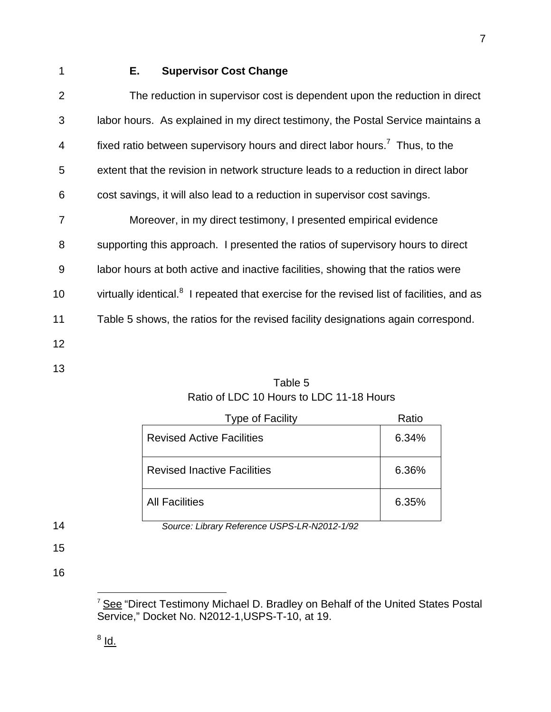# 1 **E. Supervisor Cost Change**

| $\overline{2}$ | The reduction in supervisor cost is dependent upon the reduction in direct                            |
|----------------|-------------------------------------------------------------------------------------------------------|
| 3              | labor hours. As explained in my direct testimony, the Postal Service maintains a                      |
| $\overline{4}$ | fixed ratio between supervisory hours and direct labor hours. <sup>7</sup> Thus, to the               |
| 5              | extent that the revision in network structure leads to a reduction in direct labor                    |
| 6              | cost savings, it will also lead to a reduction in supervisor cost savings.                            |
| $\overline{7}$ | Moreover, in my direct testimony, I presented empirical evidence                                      |
| 8              | supporting this approach. I presented the ratios of supervisory hours to direct                       |
| 9              | labor hours at both active and inactive facilities, showing that the ratios were                      |
| 10             | virtually identical. <sup>8</sup> I repeated that exercise for the revised list of facilities, and as |
| 11             | Table 5 shows, the ratios for the revised facility designations again correspond.                     |
| 12             |                                                                                                       |
|                |                                                                                                       |

13

# Table 5 Ratio of LDC 10 Hours to LDC 11-18 Hours

|    | <b>Type of Facility</b>                      | Ratio |
|----|----------------------------------------------|-------|
|    | <b>Revised Active Facilities</b>             | 6.34% |
|    | <b>Revised Inactive Facilities</b>           | 6.36% |
|    | <b>All Facilities</b>                        | 6.35% |
| 14 | Source: Library Reference USPS-LR-N2012-1/92 |       |

15

16

 $\overline{a}$ 

<sup>&</sup>lt;sup>7</sup> See "Direct Testimony Michael D. Bradley on Behalf of the United States Postal Service," Docket No. N2012-1,USPS-T-10, at 19.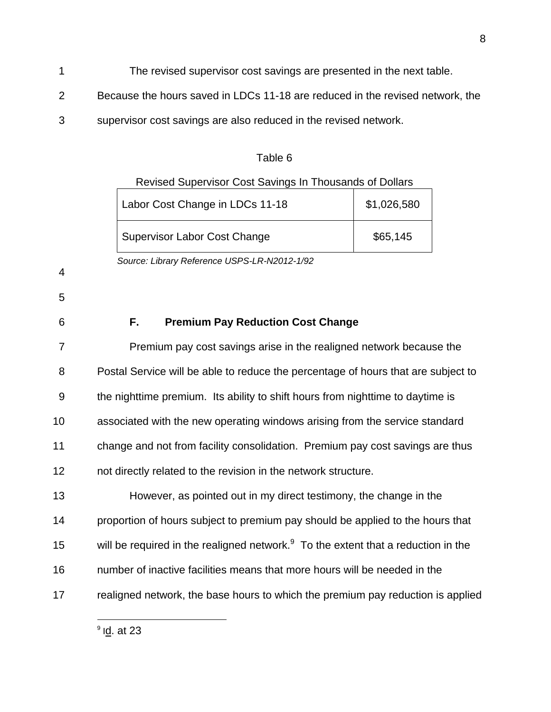- 1 The revised supervisor cost savings are presented in the next table.
- 2 Because the hours saved in LDCs 11-18 are reduced in the revised network, the
- 3 supervisor cost savings are also reduced in the revised network.

Table 6

#### Revised Supervisor Cost Savings In Thousands of Dollars

| Labor Cost Change in LDCs 11-18     | \$1,026,580 |
|-------------------------------------|-------------|
| <b>Supervisor Labor Cost Change</b> | \$65,145    |

 *Source: Library Reference USPS-LR-N2012-1/92* 

4

5

# 6 **F. Premium Pay Reduction Cost Change**

7 Premium pay cost savings arise in the realigned network because the 8 Postal Service will be able to reduce the percentage of hours that are subject to 9 the nighttime premium. Its ability to shift hours from nighttime to daytime is 10 associated with the new operating windows arising from the service standard 11 change and not from facility consolidation. Premium pay cost savings are thus 12 not directly related to the revision in the network structure. 13 However, as pointed out in my direct testimony, the change in the 14 proportion of hours subject to premium pay should be applied to the hours that 15 will be required in the realigned network. $9\text{ T}$  To the extent that a reduction in the 16 number of inactive facilities means that more hours will be needed in the

17 realigned network, the base hours to which the premium pay reduction is applied

8

 $\overline{a}$ <sup>9</sup> l<u>d</u>. at 23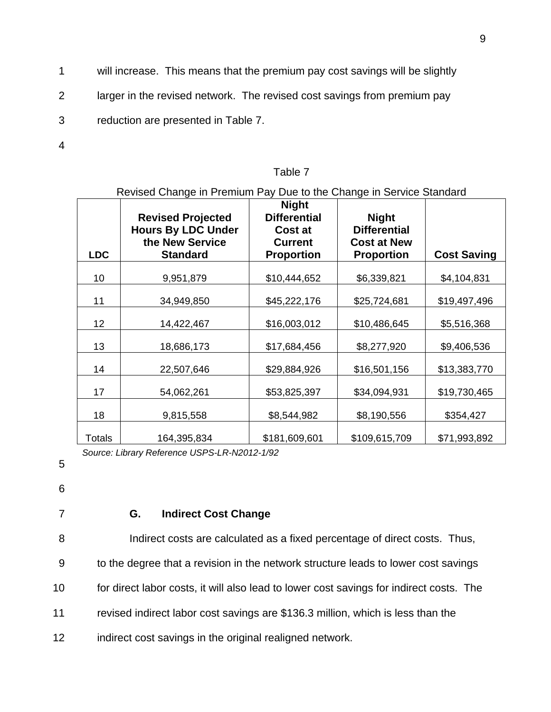- 1 will increase. This means that the premium pay cost savings will be slightly
- 2 larger in the revised network. The revised cost savings from premium pay
- 3 reduction are presented in Table 7.
- 4

#### Table 7

#### Revised Change in Premium Pay Due to the Change in Service Standard

| <b>LDC</b> | <b>Revised Projected</b><br><b>Hours By LDC Under</b><br>the New Service<br><b>Standard</b> | <b>Night</b><br><b>Differential</b><br>Cost at<br><b>Current</b><br><b>Proportion</b> | <b>Night</b><br><b>Differential</b><br><b>Cost at New</b><br><b>Proportion</b> | <b>Cost Saving</b> |
|------------|---------------------------------------------------------------------------------------------|---------------------------------------------------------------------------------------|--------------------------------------------------------------------------------|--------------------|
| 10         | 9,951,879                                                                                   | \$10,444,652                                                                          | \$6,339,821                                                                    | \$4,104,831        |
| 11         | 34,949,850                                                                                  | \$45,222,176                                                                          | \$25,724,681                                                                   | \$19,497,496       |
| 12         | 14,422,467                                                                                  | \$16,003,012                                                                          | \$10,486,645                                                                   | \$5,516,368        |
| 13         | 18,686,173                                                                                  | \$17,684,456                                                                          | \$8,277,920                                                                    | \$9,406,536        |
| 14         | 22,507,646                                                                                  | \$29,884,926                                                                          | \$16,501,156                                                                   | \$13,383,770       |
| 17         | 54,062,261                                                                                  | \$53,825,397                                                                          | \$34,094,931                                                                   | \$19,730,465       |
| 18         | 9,815,558                                                                                   | \$8,544,982                                                                           | \$8,190,556                                                                    | \$354,427          |
| Totals     | 164,395,834                                                                                 | \$181,609,601                                                                         | \$109,615,709                                                                  | \$71,993,892       |

*Source: Library Reference USPS-LR-N2012-1/92* 

5

6

#### 7 **G. Indirect Cost Change**

8 Indirect costs are calculated as a fixed percentage of direct costs. Thus, 9 to the degree that a revision in the network structure leads to lower cost savings 10 for direct labor costs, it will also lead to lower cost savings for indirect costs. The

11 revised indirect labor cost savings are \$136.3 million, which is less than the

12 indirect cost savings in the original realigned network.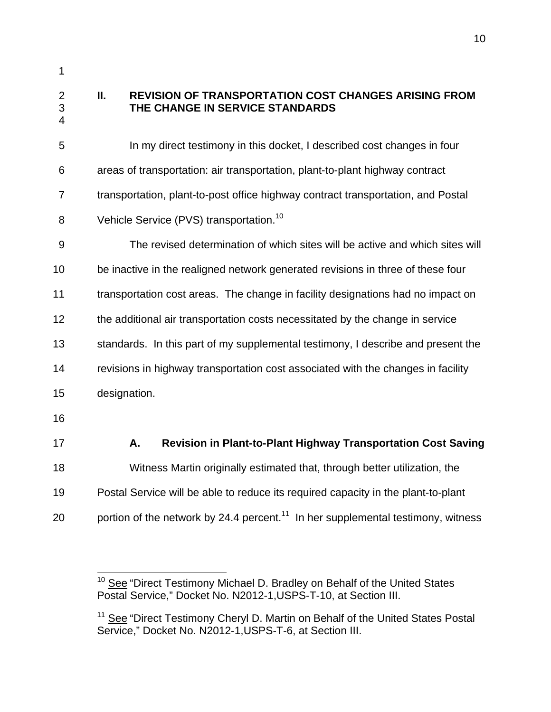$\overline{a}$ 

#### 2 **II. REVISION OF TRANSPORTATION COST CHANGES ARISING FROM**  3 **THE CHANGE IN SERVICE STANDARDS**  4

5 In my direct testimony in this docket, I described cost changes in four 6 areas of transportation: air transportation, plant-to-plant highway contract 7 transportation, plant-to-post office highway contract transportation, and Postal 8 Vehicle Service (PVS) transportation.<sup>10</sup> 9 The revised determination of which sites will be active and which sites will 10 be inactive in the realigned network generated revisions in three of these four 11 transportation cost areas. The change in facility designations had no impact on 12 the additional air transportation costs necessitated by the change in service 13 standards. In this part of my supplemental testimony, I describe and present the 14 revisions in highway transportation cost associated with the changes in facility 15 designation. 16 17 **A. Revision in Plant-to-Plant Highway Transportation Cost Saving** 18 Witness Martin originally estimated that, through better utilization, the 19 Postal Service will be able to reduce its required capacity in the plant-to-plant 20 portion of the network by 24.4 percent.<sup>11</sup> In her supplemental testimony, witness

<sup>&</sup>lt;sup>10</sup> See "Direct Testimony Michael D. Bradley on Behalf of the United States Postal Service," Docket No. N2012-1,USPS-T-10, at Section III.

<sup>&</sup>lt;sup>11</sup> See "Direct Testimony Cheryl D. Martin on Behalf of the United States Postal Service," Docket No. N2012-1,USPS-T-6, at Section III.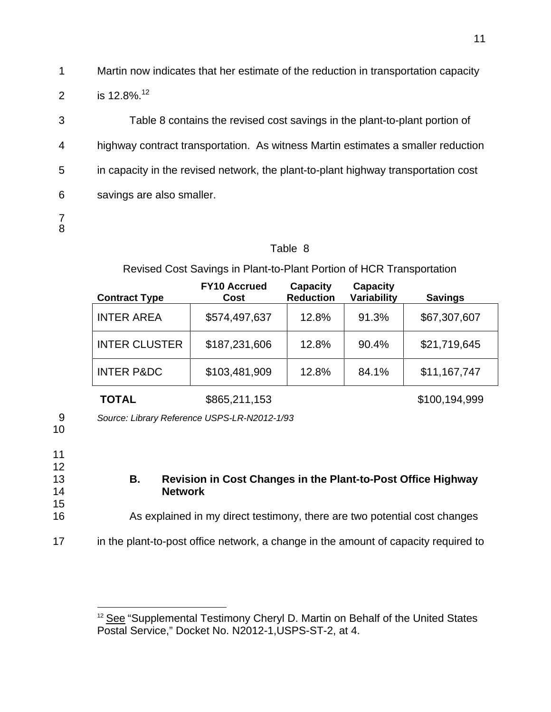1 Martin now indicates that her estimate of the reduction in transportation capacity 2 is  $12.8\%$ .<sup>12</sup>

3 Table 8 contains the revised cost savings in the plant-to-plant portion of 4 highway contract transportation. As witness Martin estimates a smaller reduction 5 in capacity in the revised network, the plant-to-plant highway transportation cost 6 savings are also smaller. 7

# 8

## Table 8

# Revised Cost Savings in Plant-to-Plant Portion of HCR Transportation

| <b>Contract Type</b>  | <b>FY10 Accrued</b><br>Cost | <b>Capacity</b><br><b>Reduction</b> | <b>Capacity</b><br>Variability | <b>Savings</b> |
|-----------------------|-----------------------------|-------------------------------------|--------------------------------|----------------|
| <b>INTER AREA</b>     | \$574,497,637               | 12.8%                               | 91.3%                          | \$67,307,607   |
| <b>INTER CLUSTER</b>  | \$187,231,606               | 12.8%                               | 90.4%                          | \$21,719,645   |
| <b>INTER P&amp;DC</b> | \$103,481,909               | 12.8%                               | 84.1%                          | \$11,167,747   |
| <b>TOTAL</b>          | \$865,211,153               |                                     |                                | \$100,194,999  |

9 *Source: Library Reference USPS-LR-N2012-1/93* 

10

11

12

15

 $\overline{a}$ 

## 13 **B. Revision in Cost Changes in the Plant-to-Post Office Highway**  14 **Network**

- 16 As explained in my direct testimony, there are two potential cost changes
- 17 in the plant-to-post office network, a change in the amount of capacity required to

<sup>&</sup>lt;sup>12</sup> See "Supplemental Testimony Cheryl D. Martin on Behalf of the United States Postal Service," Docket No. N2012-1,USPS-ST-2, at 4.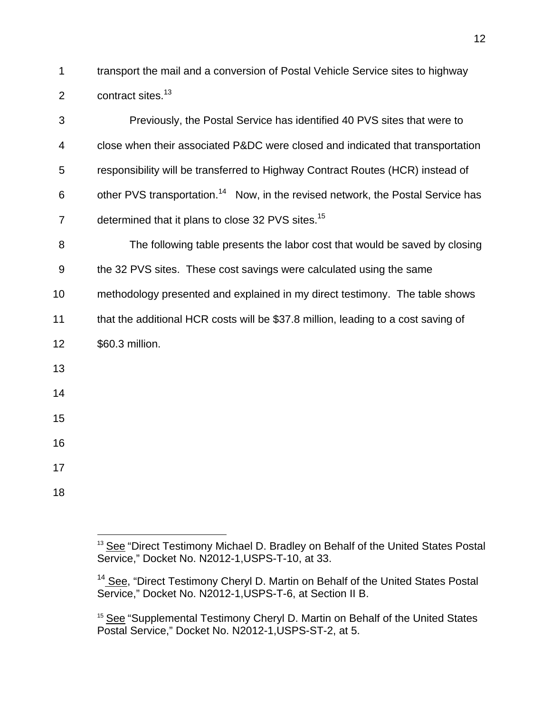1 transport the mail and a conversion of Postal Vehicle Service sites to highway 2 contract sites.<sup>13</sup>

| 3              | Previously, the Postal Service has identified 40 PVS sites that were to                     |
|----------------|---------------------------------------------------------------------------------------------|
| 4              | close when their associated P&DC were closed and indicated that transportation              |
| 5              | responsibility will be transferred to Highway Contract Routes (HCR) instead of              |
| 6              | other PVS transportation. <sup>14</sup> Now, in the revised network, the Postal Service has |
| $\overline{7}$ | determined that it plans to close 32 PVS sites. <sup>15</sup>                               |
| 8              | The following table presents the labor cost that would be saved by closing                  |
| $9\,$          | the 32 PVS sites. These cost savings were calculated using the same                         |
| 10             | methodology presented and explained in my direct testimony. The table shows                 |
| 11             | that the additional HCR costs will be \$37.8 million, leading to a cost saving of           |
| 12             | \$60.3 million.                                                                             |
| 13             |                                                                                             |
| 14             |                                                                                             |
| 15             |                                                                                             |
| 16             |                                                                                             |
| 17             |                                                                                             |
| 18             |                                                                                             |

 $\overline{a}$ 

12

<sup>&</sup>lt;sup>13</sup> See "Direct Testimony Michael D. Bradley on Behalf of the United States Postal Service," Docket No. N2012-1,USPS-T-10, at 33.

<sup>&</sup>lt;sup>14</sup> See, "Direct Testimony Cheryl D. Martin on Behalf of the United States Postal Service," Docket No. N2012-1, USPS-T-6, at Section II B.

<sup>&</sup>lt;sup>15</sup> See "Supplemental Testimony Cheryl D. Martin on Behalf of the United States Postal Service," Docket No. N2012-1, USPS-ST-2, at 5.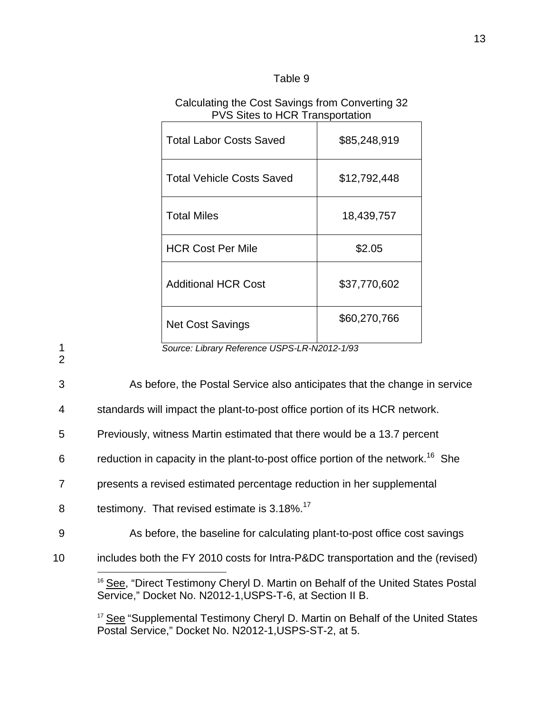| able |  |  |
|------|--|--|
|      |  |  |

## Calculating the Cost Savings from Converting 32 PVS Sites to HCR Transportation

| <b>Total Labor Costs Saved</b>   | \$85,248,919 |
|----------------------------------|--------------|
| <b>Total Vehicle Costs Saved</b> | \$12,792,448 |
| <b>Total Miles</b>               | 18,439,757   |
| <b>HCR Cost Per Mile</b>         | \$2.05       |
| <b>Additional HCR Cost</b>       | \$37,770,602 |
| <b>Net Cost Savings</b>          | \$60,270,766 |

1 *Source: Library Reference USPS-LR-N2012-1/93* 

2

 $\overline{a}$ 

3 As before, the Postal Service also anticipates that the change in service

4 standards will impact the plant-to-post office portion of its HCR network.

5 Previously, witness Martin estimated that there would be a 13.7 percent

6 reduction in capacity in the plant-to-post office portion of the network.<sup>16</sup> She

7 presents a revised estimated percentage reduction in her supplemental

- 8 testimony. That revised estimate is 3.18%.<sup>17</sup>
- 9 As before, the baseline for calculating plant-to-post office cost savings
- 10 includes both the FY 2010 costs for Intra-P&DC transportation and the (revised)

<sup>17</sup> See "Supplemental Testimony Cheryl D. Martin on Behalf of the United States Postal Service," Docket No. N2012-1,USPS-ST-2, at 5.

<sup>&</sup>lt;sup>16</sup> See, "Direct Testimony Cheryl D. Martin on Behalf of the United States Postal Service," Docket No. N2012-1,USPS-T-6, at Section II B.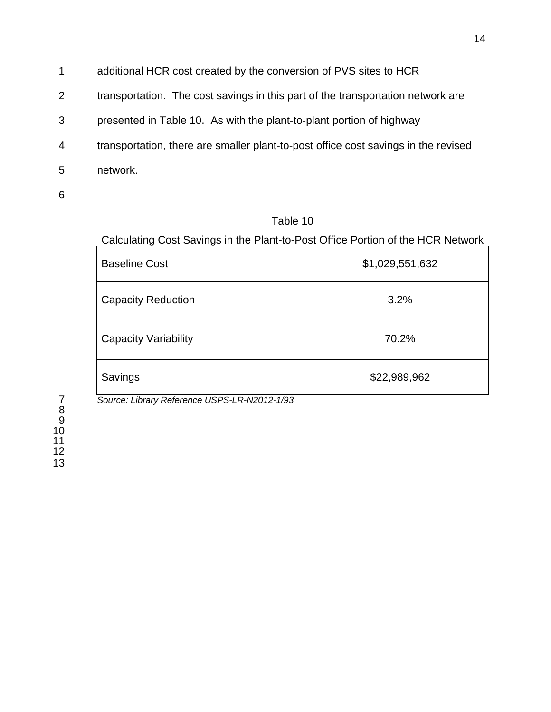- 1 additional HCR cost created by the conversion of PVS sites to HCR
- 2 transportation. The cost savings in this part of the transportation network are
- 3 presented in Table 10. As with the plant-to-plant portion of highway
- 4 transportation, there are smaller plant-to-post office cost savings in the revised
- 5 network.

Table 10

Calculating Cost Savings in the Plant-to-Post Office Portion of the HCR Network

| <b>Baseline Cost</b>        | \$1,029,551,632 |
|-----------------------------|-----------------|
| <b>Capacity Reduction</b>   | 3.2%            |
| <b>Capacity Variability</b> | 70.2%           |
| Savings                     | \$22,989,962    |

7 *Source: Library Reference USPS-LR-N2012-1/93*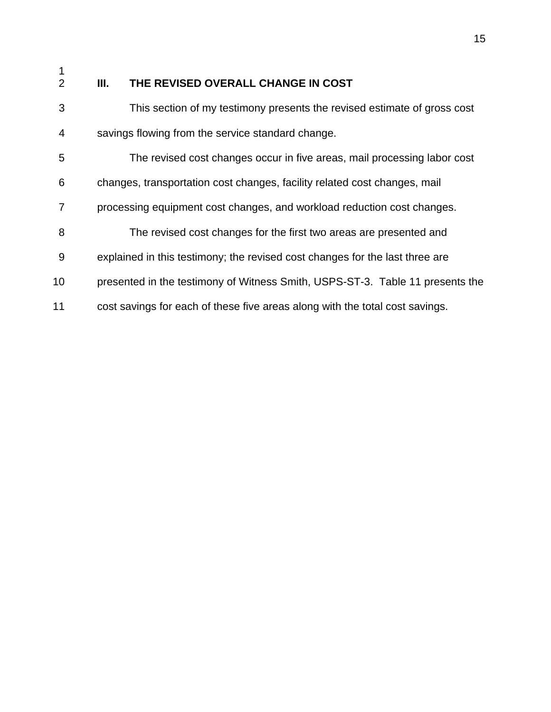$\frac{1}{2}$ 

# **III.** THE REVISED OVERALL CHANGE IN COST

| 3              | This section of my testimony presents the revised estimate of gross cost      |
|----------------|-------------------------------------------------------------------------------|
| $\overline{4}$ | savings flowing from the service standard change.                             |
| 5              | The revised cost changes occur in five areas, mail processing labor cost      |
| 6              | changes, transportation cost changes, facility related cost changes, mail     |
| 7              | processing equipment cost changes, and workload reduction cost changes.       |
| 8              | The revised cost changes for the first two areas are presented and            |
| 9              | explained in this testimony; the revised cost changes for the last three are  |
| 10             | presented in the testimony of Witness Smith, USPS-ST-3. Table 11 presents the |
| 11             | cost savings for each of these five areas along with the total cost savings.  |